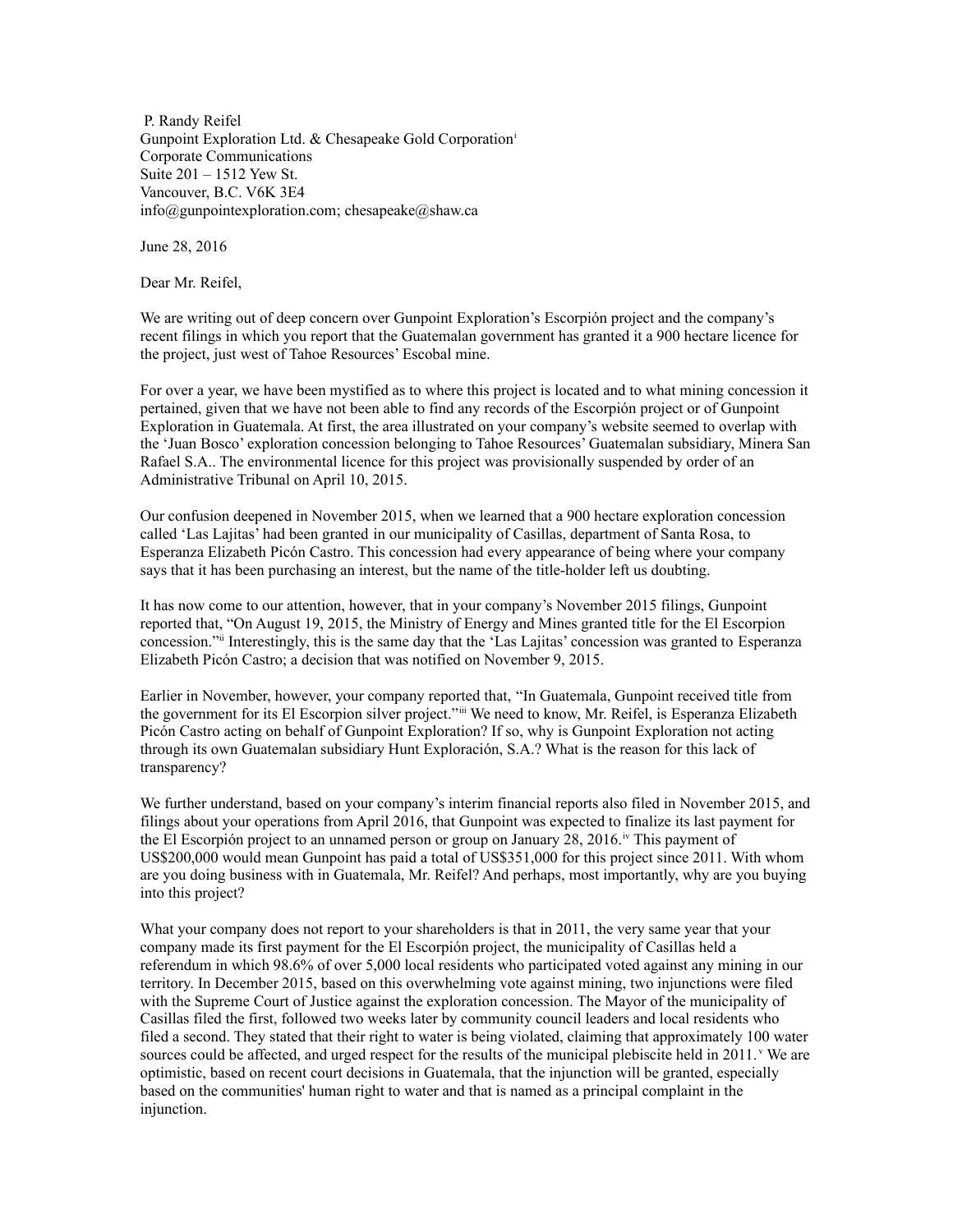P. Randy Reifel Gunpoint Exploration Ltd. & Chesapeake Gold Corporation[i](#page-2-0) Corporate Communications Suite 201 – 1512 Yew St. Vancouver, B.C. V6K 3E4  $info@g$ unpointexploration.com; chesapeake $@s$ haw.ca

June 28, 2016

Dear Mr. Reifel,

We are writing out of deep concern over Gunpoint Exploration's Escorpión project and the company's recent filings in which you report that the Guatemalan government has granted it a 900 hectare licence for the project, just west of Tahoe Resources' Escobal mine.

For over a year, we have been mystified as to where this project is located and to what mining concession it pertained, given that we have not been able to find any records of the Escorpión project or of Gunpoint Exploration in Guatemala. At first, the area illustrated on your company's website seemed to overlap with the 'Juan Bosco' exploration concession belonging to Tahoe Resources' Guatemalan subsidiary, Minera San Rafael S.A.. The environmental licence for this project was provisionally suspended by order of an Administrative Tribunal on April 10, 2015.

Our confusion deepened in November 2015, when we learned that a 900 hectare exploration concession called 'Las Lajitas' had been granted in our municipality of Casillas, department of Santa Rosa, to Esperanza Elizabeth Picón Castro. This concession had every appearance of being where your company says that it has been purchasing an interest, but the name of the title-holder left us doubting.

It has now come to our attention, however, that in your company's November 2015 filings, Gunpoint reported that, "On August 19, 2015, the Ministry of Energy and Mines granted title for the El Escorpion concession."[ii](#page-2-1) Interestingly, this is the same day that the 'Las Lajitas' concession was granted to Esperanza Elizabeth Picón Castro; a decision that was notified on November 9, 2015.

Earlier in November, however, your company reported that, "In Guatemala, Gunpoint received title from the government for its El Escorpion silver project."[iii](#page-2-2) We need to know, Mr. Reifel, is Esperanza Elizabeth Picón Castro acting on behalf of Gunpoint Exploration? If so, why is Gunpoint Exploration not acting through its own Guatemalan subsidiary Hunt Exploración, S.A.? What is the reason for this lack of transparency?

We further understand, based on your company's interim financial reports also filed in November 2015, and filings about your operations from April 2016, that Gunpoint was expected to finalize its last payment for the El Escorpión project to an unnamed person or group on January 28, 2016.<sup>[iv](#page-2-3)</sup> This payment of US\$200,000 would mean Gunpoint has paid a total of US\$351,000 for this project since 2011. With whom are you doing business with in Guatemala, Mr. Reifel? And perhaps, most importantly, why are you buying into this project?

What your company does not report to your shareholders is that in 2011, the very same year that your company made its first payment for the El Escorpión project, the municipality of Casillas held a referendum in which 98.6% of over 5,000 local residents who participated voted against any mining in our territory. In December 2015, based on this overwhelming vote against mining, two injunctions were filed with the Supreme Court of Justice against the exploration concession. The Mayor of the municipality of Casillas filed the first, followed two weeks later by community council leaders and local residents who filed a second. They stated that their right to water is being violated, claiming that approximately 100 water sources could be affected, and urged respect for the results of the municipal plebiscite held in  $2011$ . We are optimistic, based on recent court decisions in Guatemala, that the injunction will be granted, especially based on the communities' human right to water and that is named as a principal complaint in the injunction.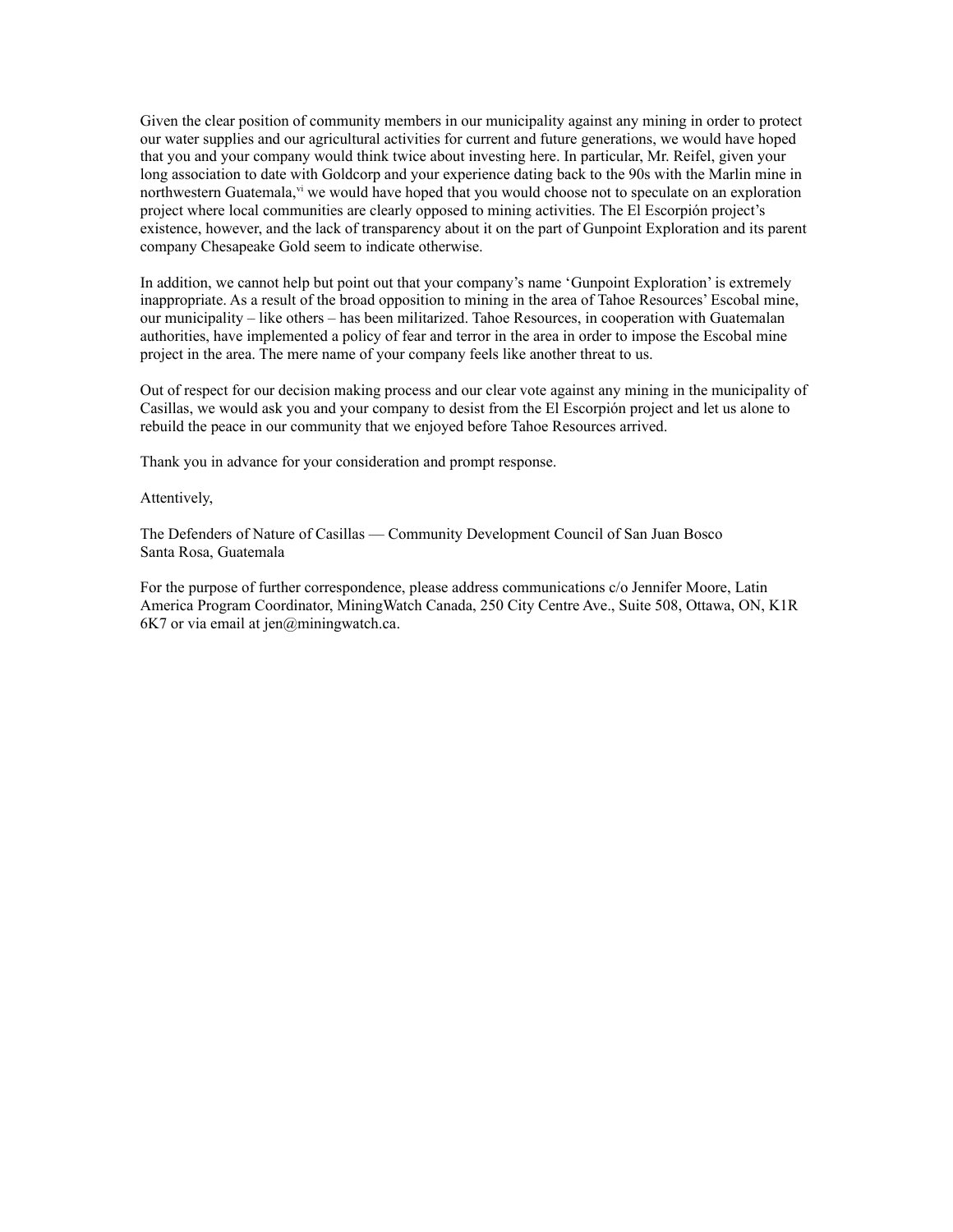Given the clear position of community members in our municipality against any mining in order to protect our water supplies and our agricultural activities for current and future generations, we would have hoped that you and your company would think twice about investing here. In particular, Mr. Reifel, given your long association to date with Goldcorp and your experience dating back to the 90s with the Marlin mine in northwestern Guatemala,  $v_i$  we would have hoped that you would choose not to speculate on an exploration project where local communities are clearly opposed to mining activities. The El Escorpión project's existence, however, and the lack of transparency about it on the part of Gunpoint Exploration and its parent company Chesapeake Gold seem to indicate otherwise.

In addition, we cannot help but point out that your company's name 'Gunpoint Exploration' is extremely inappropriate. As a result of the broad opposition to mining in the area of Tahoe Resources' Escobal mine, our municipality – like others – has been militarized. Tahoe Resources, in cooperation with Guatemalan authorities, have implemented a policy of fear and terror in the area in order to impose the Escobal mine project in the area. The mere name of your company feels like another threat to us.

Out of respect for our decision making process and our clear vote against any mining in the municipality of Casillas, we would ask you and your company to desist from the El Escorpión project and let us alone to rebuild the peace in our community that we enjoyed before Tahoe Resources arrived.

Thank you in advance for your consideration and prompt response.

## Attentively,

The Defenders of Nature of Casillas — Community Development Council of San Juan Bosco Santa Rosa, Guatemala

For the purpose of further correspondence, please address communications c/o Jennifer Moore, Latin America Program Coordinator, MiningWatch Canada, 250 City Centre Ave., Suite 508, Ottawa, ON, K1R  $6K7$  or via email at jen $@$ miningwatch.ca.